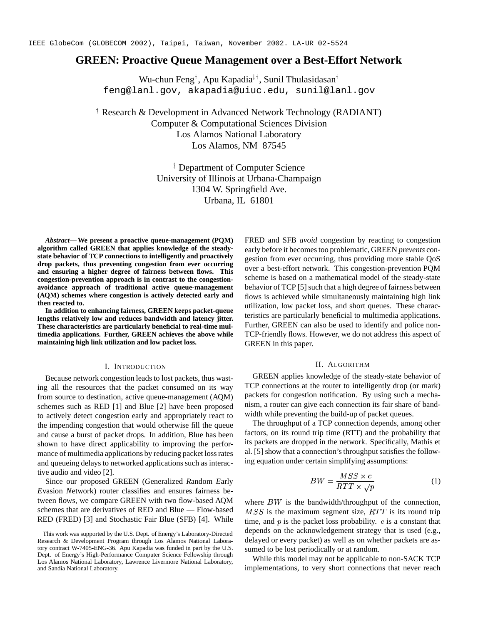# **GREEN: Proactive Queue Management over a Best-Effort Network**

Wu-chun Feng<sup>†</sup>, Apu Kapadia‡†, Sunil Thulasidasan† feng@lanl.gov, akapadia@uiuc.edu, sunil@lanl.gov

 Research & Development in Advanced Network Technology (RADIANT) Computer & Computational Sciences Division Los Alamos National Laboratory Los Alamos, NM 87545

> Department of Computer Science University of Illinois at Urbana-Champaign 1304 W. Springfield Ave. Urbana, IL 61801

*Abstract***—We present a proactive queue-management (PQM) algorithm called GREEN that applies knowledge of the steadystate behavior of TCP connections to intelligently and proactively drop packets, thus preventing congestion from ever occurring and ensuring a higher degree of fairness between flows. This congestion-prevention approach is in contrast to the congestionavoidance approach of traditional active queue-management (AQM) schemes where congestion is actively detected early and then reacted to.**

**In addition to enhancing fairness, GREEN keeps packet-queue lengths relatively low and reduces bandwidth and latency jitter. These characteristics are particularly beneficial to real-time multimedia applications. Further, GREEN achieves the above while maintaining high link utilization and low packet loss.**

#### I. INTRODUCTION

Because network congestion leads to lost packets, thus wasting all the resources that the packet consumed on its way from source to destination, active queue-management (AQM) schemes such as RED [1] and Blue [2] have been proposed to actively detect congestion early and appropriately react to the impending congestion that would otherwise fill the queue and cause a burst of packet drops. In addition, Blue has been shown to have direct applicability to improving the performance of multimedia applications by reducing packet loss rates and queueing delays to networked applications such as interactive audio and video [2].

Since our proposed GREEN (*G*eneralized *R*andom *E*arly *E*vasion *N*etwork) router classifies and ensures fairness between flows, we compare GREEN with two flow-based AQM schemes that are derivatives of RED and Blue — Flow-based RED (FRED) [3] and Stochastic Fair Blue (SFB) [4]. While

FRED and SFB *avoid* congestion by reacting to congestion early before it becomestoo problematic, GREEN *prevents* congestion from ever occurring, thus providing more stable QoS over a best-effort network. This congestion-prevention PQM scheme is based on a mathematical model of the steady-state behavior of TCP [5] such that a high degree of fairness between flows is achieved while simultaneously maintaining high link utilization, low packet loss, and short queues. These characteristics are particularly beneficial to multimedia applications. Further, GREEN can also be used to identify and police non-TCP-friendly flows. However, we do not address this aspect of GREEN in this paper.

## II. ALGORITHM

GREEN applies knowledge of the steady-state behavior of TCP connections at the router to intelligently drop (or mark) packets for congestion notification. By using such a mechanism, a router can give each connection its fair share of bandwidth while preventing the build-up of packet queues.

The throughput of a TCP connection depends, among other factors, on its round trip time (RTT) and the probability that its packets are dropped in the network. Specifically, Mathis et al. [5] show that a connection's throughput satisfies the following equation under certain simplifying assumptions:

$$
BW = \frac{MSS \times c}{RTT \times \sqrt{p}}\tag{1}
$$

where  $BW$  is the bandwidth/throughput of the connection,  $MSS$  is the maximum segment size,  $RTT$  is its round trip time, and  $p$  is the packet loss probability.  $c$  is a constant that depends on the acknowledgement strategy that is used (e.g., delayed or every packet) as well as on whether packets are assumed to be lost periodically or at random.

While this model may not be applicable to non-SACK TCP implementations, to very short connections that never reach

This work was supported by the U.S. Dept. of Energy's Laboratory-Directed Research & Development Program through Los Alamos National Laboratory contract W-7405-ENG-36. Apu Kapadia was funded in part by the U.S. Dept. of Energy's High-Performance Computer Science Fellowship through Los Alamos National Laboratory, Lawrence Livermore National Laboratory, and Sandia National Laboratory.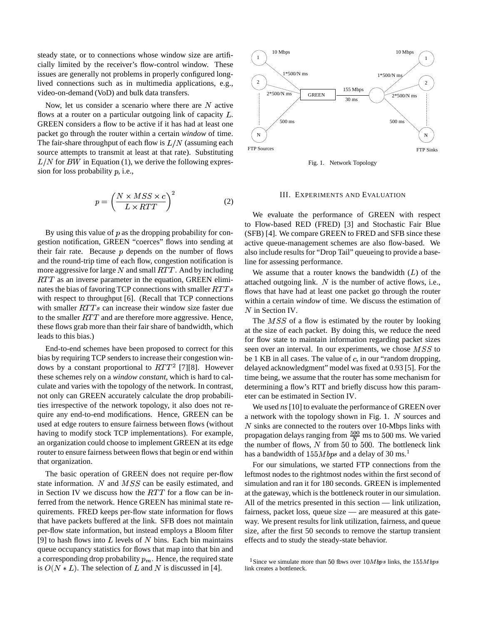steady state, or to connections whose window size are artificially limited by the receiver's flow-control window. These issues are generally not problems in properly configured longlived connections such as in multimedia applications, e.g., video-on-demand (VoD) and bulk data transfers.

Now, let us consider a scenario where there are  $N$  active flows at a router on a particular outgoing link of capacity  $L$ . GREEN considers a flow to be active if it has had at least one packet go through the router within a certain *window* of time. The fair-share throughput of each flow is  $L/N$  (assuming each source attempts to transmit at least at that rate). Substituting  $L/N$  for  $BW$  in Equation (1), we derive the following expression for loss probability  $p$ , i.e.,

$$
p = \left(\frac{N \times MSS \times c}{L \times RTT}\right)^2\tag{2}
$$

By using this value of  $p$  as the dropping probability for congestion notification, GREEN "coerces" flows into sending at their fair rate. Because  $p$  depends on the number of flows and the round-trip time of each flow, congestion notification is more aggressive for large  $N$  and small  $RTT$ . And by including  $RTT$  as an inverse parameter in the equation, GREEN eliminates the bias of favoring TCP connections with smaller  $RTTs$ with respect to throughput [6]. (Recall that TCP connections with smaller  $RTTs$  can increase their window size faster due to the smaller  $RTT$  and are therefore more aggressive. Hence, these flows grab more than their fair share of bandwidth, which leads to this bias.)

End-to-end schemes have been proposed to correct for this bias by requiring TCP senders to increase their congestion windows by a constant proportional to  $RTT^2$  [7][8]. However these schemes rely on a *window constant*, which is hard to calculate and varies with the topology of the network. In contrast, not only can GREEN accurately calculate the drop probabilities irrespective of the network topology, it also does not require any end-to-end modifications. Hence, GREEN can be used at edge routers to ensure fairness between flows (without having to modify stock TCP implementations). For example, an organization could choose to implement GREEN at its edge router to ensure fairness between flows that begin or end within that organization.

The basic operation of GREEN does not require per-flow state information. N and  $MSS$  can be easily estimated, and in Section IV we discuss how the  $RTT$  for a flow can be inferred from the network. Hence GREEN has minimal state requirements. FRED keeps per-flow state information for flows that have packets buffered at the link. SFB does not maintain per-flow state information, but instead employs a Bloom filter [9] to hash flows into  $L$  levels of  $N$  bins. Each bin maintains queue occupancy statistics for flows that map into that bin and a corresponding drop probability  $p_m$ . Hence, the required state is  $O(N * L)$ . The selection of L and N is discussed in [4].



Fig. 1. Network Topology

## III. EXPERIMENTS AND EVALUATION

We evaluate the performance of GREEN with respect to Flow-based RED (FRED) [3] and Stochastic Fair Blue (SFB) [4]. We compare GREEN to FRED and SFB since these active queue-management schemes are also flow-based. We also include results for "Drop Tail" queueing to provide a baseline for assessing performance.

We assume that a router knows the bandwidth  $(L)$  of the attached outgoing link.  $N$  is the number of active flows, i.e., flows that have had at least one packet go through the router within a certain *window* of time. We discuss the estimation of  $N$  in Section IV.

The  $MSS$  of a flow is estimated by the router by looking at the size of each packet. By doing this, we reduce the need for flow state to maintain information regarding packet sizes seen over an interval. In our experiments, we chose  $MSS$  to be 1 KB in all cases. The value of  $c$ , in our "random dropping, delayed acknowledgment" model was fixed at 0.93 [5]. For the time being, we assume that the router has some mechanism for determining a flow's RTT and briefly discuss how this parameter can be estimated in Section IV.

We used *ns* [10] to evaluate the performance of GREEN over a network with the topology shown in Fig. 1.  $N$  sources and  $N$  sinks are connected to the routers over 10-Mbps links with propagation delays ranging from  $\frac{500}{N}$  ms to 500 ms. We varied the number of flows,  $N$  from  $50$  to  $500$ . The bottleneck link has a bandwidth of  $155Mbps$  and a delay of 30 ms.<sup>1</sup>

For our simulations, we started FTP connections from the leftmost nodes to the rightmost nodes within the first second of simulation and ran it for 180 seconds. GREEN is implemented at the gateway, which is the bottleneck router in our simulation. All of the metrics presented in this section — link utilization, fairness, packet loss, queue size — are measured at this gateway. We present results for link utilization, fairness, and queue size, after the first 50 seconds to remove the startup transient effects and to study the steady-state behavior.

<sup>&</sup>lt;sup>1</sup> Since we simulate more than 50 flows over  $10Mbps$  links, the  $155Mbps$ link creates a bottleneck.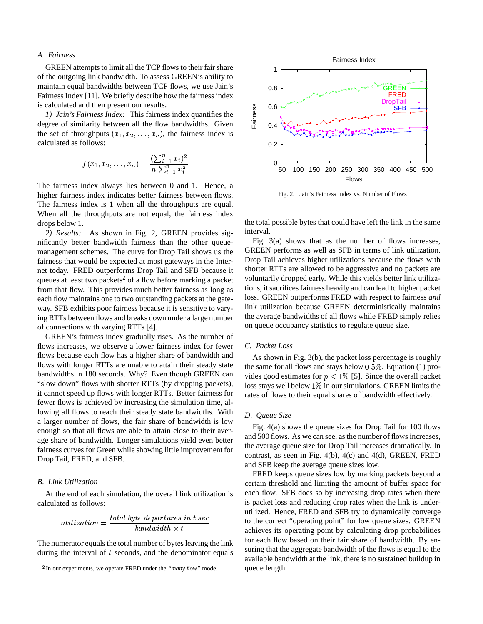# *A. Fairness*

GREEN attempts to limit all the TCP flows to their fair share of the outgoing link bandwidth. To assess GREEN's ability to maintain equal bandwidths between TCP flows, we use Jain's Fairness Index [11]. We briefly describe how the fairness index is calculated and then present our results.

*1) Jain's Fairness Index:* This fairness index quantifies the degree of similarity between all the flow bandwidths. Given the set of throughputs  $(x_1, x_2, \ldots, x_n)$ , the fairness index is calculated as follows: calculated as follows:

$$
f(x_1, x_2, \ldots, x_n) = \frac{(\sum_{i=1}^n x_i)^2}{n \sum_{i=1}^n x_i^2}
$$

The fairness index always lies between 0 and 1. Hence, a higher fairness index indicates better fairness between flows. The fairness index is 1 when all the throughputs are equal. When all the throughputs are not equal, the fairness index drops below 1.

*2) Results:* As shown in Fig. 2, GREEN provides significantly better bandwidth fairness than the other queuemanagement schemes. The curve for Drop Tail shows us the fairness that would be expected at most gateways in the Internet today. FRED outperforms Drop Tail and SFB because it queues at least two packets<sup>2</sup> of a flow before marking a packet from that flow. This provides much better fairness as long as each flow maintains one to two outstanding packets at the gateway. SFB exhibits poor fairness because it is sensitive to varying RTTs between flows and breaks down under a large number of connections with varying RTTs [4].

GREEN's fairness index gradually rises. As the number of flows increases, we observe a lower fairness index for fewer flows because each flow has a higher share of bandwidth and flows with longer RTTs are unable to attain their steady state bandwidths in 180 seconds. Why? Even though GREEN can "slow down" flows with shorter RTTs (by dropping packets), it cannot speed up flows with longer RTTs. Better fairness for fewer flows is achieved by increasing the simulation time, allowing all flows to reach their steady state bandwidths. With a larger number of flows, the fair share of bandwidth is low enough so that all flows are able to attain close to their average share of bandwidth. Longer simulations yield even better fairness curves for Green while showing little improvement for Drop Tail, FRED, and SFB.

## *B. Link Utilization*

At the end of each simulation, the overall link utilization is calculated as follows:

$$
utilization = \frac{total~byte~departures~in~t~sec}{bandwidth \times t}
$$

The numerator equals the total number of bytes leaving the link during the interval of  $t$  seconds, and the denominator equals



Fig. 2. Jain's Fairness Index vs. Number of Flows

the total possible bytes that could have left the link in the same interval.

Fig. 3(a) shows that as the number of flows increases, GREEN performs as well as SFB in terms of link utilization. Drop Tail achieves higher utilizations because the flows with shorter RTTs are allowed to be aggressive and no packets are voluntarily dropped early. While this yields better link utilizations, it sacrifices fairness heavily and can lead to higher packet loss. GREEN outperforms FRED with respect to fairness *and* link utilization because GREEN deterministically maintains the average bandwidths of all flows while FRED simply relies on queue occupancy statistics to regulate queue size.

## *C. Packet Loss*

As shown in Fig. 3(b), the packet loss percentage is roughly the same for all flows and stays below  $0.5\%$ . Equation (1) provides good estimates for  $p < 1\%$  [5]. Since the overall packet loss stays well below  $1\%$  in our simulations, GREEN limits the rates of flows to their equal shares of bandwidth effectively.

## *D. Queue Size*

Fig. 4(a) shows the queue sizes for Drop Tail for 100 flows and 500 flows. As we can see, as the number of flows increases, the average queue size for Drop Tail increases dramatically. In contrast, as seen in Fig. 4(b), 4(c) and 4(d), GREEN, FRED and SFB keep the average queue sizes low.

FRED keeps queue sizes low by marking packets beyond a certain threshold and limiting the amount of buffer space for each flow. SFB does so by increasing drop rates when there is packet loss and reducing drop rates when the link is underutilized. Hence, FRED and SFB try to dynamically converge to the correct "operating point" for low queue sizes. GREEN achieves its operating point by calculating drop probabilities for each flow based on their fair share of bandwidth. By ensuring that the aggregate bandwidth of the flows is equal to the available bandwidth at the link, there is no sustained buildup in queue length.

<sup>&</sup>lt;sup>2</sup>In our experiments, we operate FRED under the *"many flow"* mode.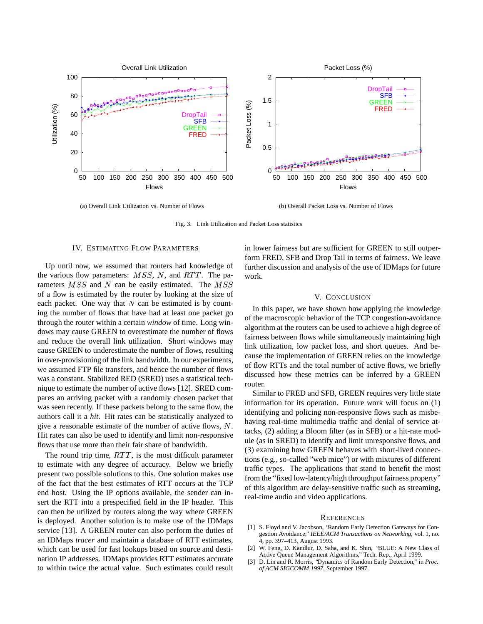

(a) Overall Link Utilization vs. Number of Flows

(b) Overall Packet Loss vs. Number of Flows

Fig. 3. Link Utilization and Packet Loss statistics

#### IV. ESTIMATING FLOW PARAMETERS

Up until now, we assumed that routers had knowledge of the various flow parameters:  $MSS$ , N, and  $RTT$ . The parameters  $MSS$  and N can be easily estimated. The  $MSS$ of a flow is estimated by the router by looking at the size of each packet. One way that  $N$  can be estimated is by counting the number of flows that have had at least one packet go through the router within a certain *window* of time. Long windows may cause GREEN to overestimate the number of flows and reduce the overall link utilization. Short windows may cause GREEN to underestimate the number of flows, resulting in over-provisioning of the link bandwidth. In our experiments, we assumed FTP file transfers, and hence the number of flows was a constant. Stabilized RED (SRED) uses a statistical technique to estimate the number of active flows [12]. SRED compares an arriving packet with a randomly chosen packet that was seen recently. If these packets belong to the same flow, the authors call it a *hit*. Hit rates can be statistically analyzed to give a reasonable estimate of the number of active flows,  $N$ . Hit rates can also be used to identify and limit non-responsive flows that use more than their fair share of bandwidth.

The round trip time,  $RTT$ , is the most difficult parameter to estimate with any degree of accuracy. Below we briefly present two possible solutions to this. One solution makes use of the fact that the best estimates of RTT occurs at the TCP end host. Using the IP options available, the sender can insert the RTT into a prespecified field in the IP header. This can then be utilized by routers along the way where GREEN is deployed. Another solution is to make use of the IDMaps service [13]. A GREEN router can also perform the duties of an IDMaps *tracer* and maintain a database of RTT estimates, which can be used for fast lookups based on source and destination IP addresses. IDMaps provides RTT estimates accurate to within twice the actual value. Such estimates could result

in lower fairness but are sufficient for GREEN to still outperform FRED, SFB and Drop Tail in terms of fairness. We leave further discussion and analysis of the use of IDMaps for future work.

#### V. CONCLUSION

In this paper, we have shown how applying the knowledge of the macroscopic behavior of the TCP congestion-avoidance algorithm at the routers can be used to achieve a high degree of fairness between flows while simultaneously maintaining high link utilization, low packet loss, and short queues. And because the implementation of GREEN relies on the knowledge of flow RTTs and the total number of active flows, we briefly discussed how these metrics can be inferred by a GREEN router.

Similar to FRED and SFB, GREEN requires very little state information for its operation. Future work will focus on (1) identifying and policing non-responsive flows such as misbehaving real-time multimedia traffic and denial of service attacks, (2) adding a Bloom filter (as in SFB) or a hit-rate module (as in SRED) to identify and limit unresponsive flows, and (3) examining how GREEN behaves with short-lived connections (e.g., so-called "web mice") or with mixtures of different traffic types. The applications that stand to benefit the most from the "fixed low-latency/high throughput fairness property" of this algorithm are delay-sensitive traffic such as streaming, real-time audio and video applications.

#### **REFERENCES**

- [1] S. Floyd and V. Jacobson, "Random Early Detection Gateways for Congestion Avoidance," *IEEE/ACM Transactions on Networking*, vol. 1, no. 4, pp. 397–413, August 1993.
- [2] W. Feng, D. Kandlur, D. Saha, and K. Shin, "BLUE: A New Class of Active Queue Management Algorithms," Tech. Rep., April 1999.
- [3] D. Lin and R. Morris, "Dynamics of Random Early Detection," in *Proc. of ACM SIGCOMM 1997*, September 1997.